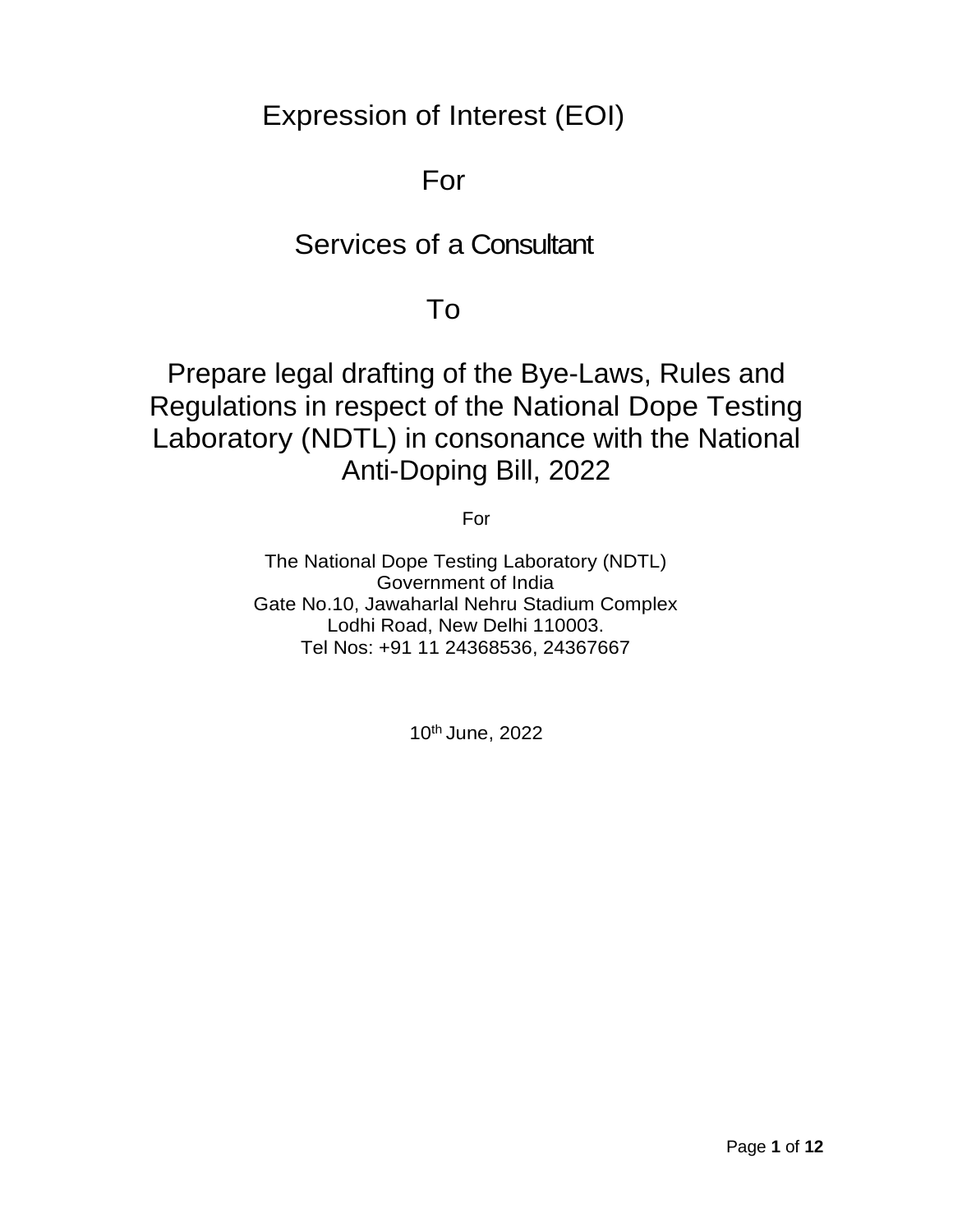Expression of Interest (EOI)

# For

# Services of a Consultant

# To

# Prepare legal drafting of the Bye-Laws, Rules and Regulations in respect of the National Dope Testing Laboratory (NDTL) in consonance with the National Anti-Doping Bill, 2022

For

The National Dope Testing Laboratory (NDTL) Government of India Gate No.10, Jawaharlal Nehru Stadium Complex Lodhi Road, New Delhi 110003. Tel Nos: +91 11 24368536, 24367667

10th June, 2022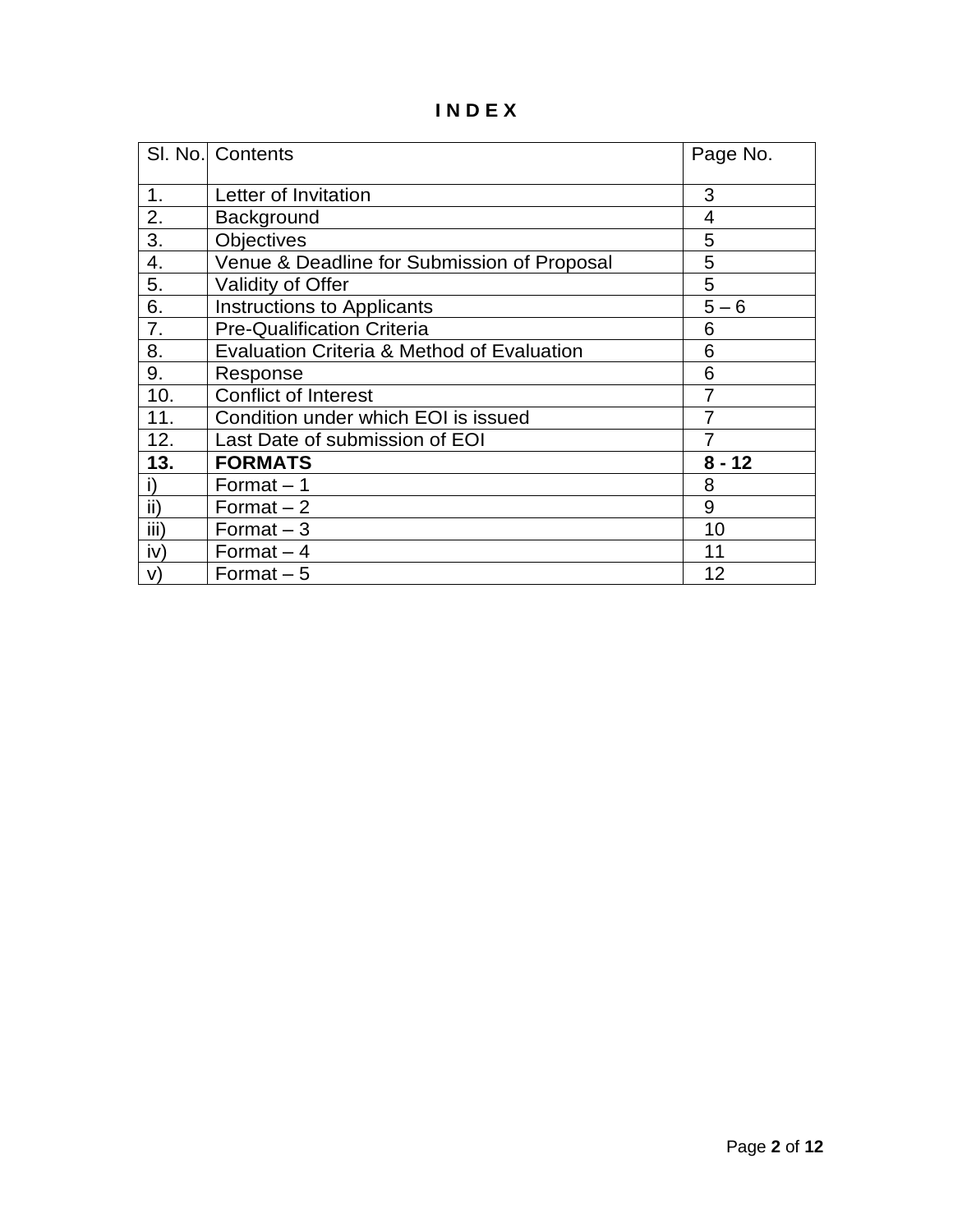## **I N D E X**

|      | SI. No. Contents                            | Page No. |
|------|---------------------------------------------|----------|
|      |                                             |          |
| 1.   | Letter of Invitation                        | 3        |
| 2.   | Background                                  | 4        |
| 3.   | <b>Objectives</b>                           | 5        |
| 4.   | Venue & Deadline for Submission of Proposal | 5        |
| 5.   | <b>Validity of Offer</b>                    | 5        |
| 6.   | Instructions to Applicants                  | $5 - 6$  |
| 7.   | <b>Pre-Qualification Criteria</b>           | 6        |
| 8.   | Evaluation Criteria & Method of Evaluation  | 6        |
| 9.   | Response                                    | 6        |
| 10.  | <b>Conflict of Interest</b>                 |          |
| 11.  | Condition under which EOI is issued         |          |
| 12.  | Last Date of submission of EOI              |          |
| 13.  | <b>FORMATS</b>                              | $8 - 12$ |
| i)   | Format $-1$                                 | 8        |
| ii)  | Format $-2$                                 | 9        |
| iii) | Format $-3$                                 | 10       |
| iv)  | Format $-4$                                 | 11       |
| V)   | Format $-5$                                 | 12       |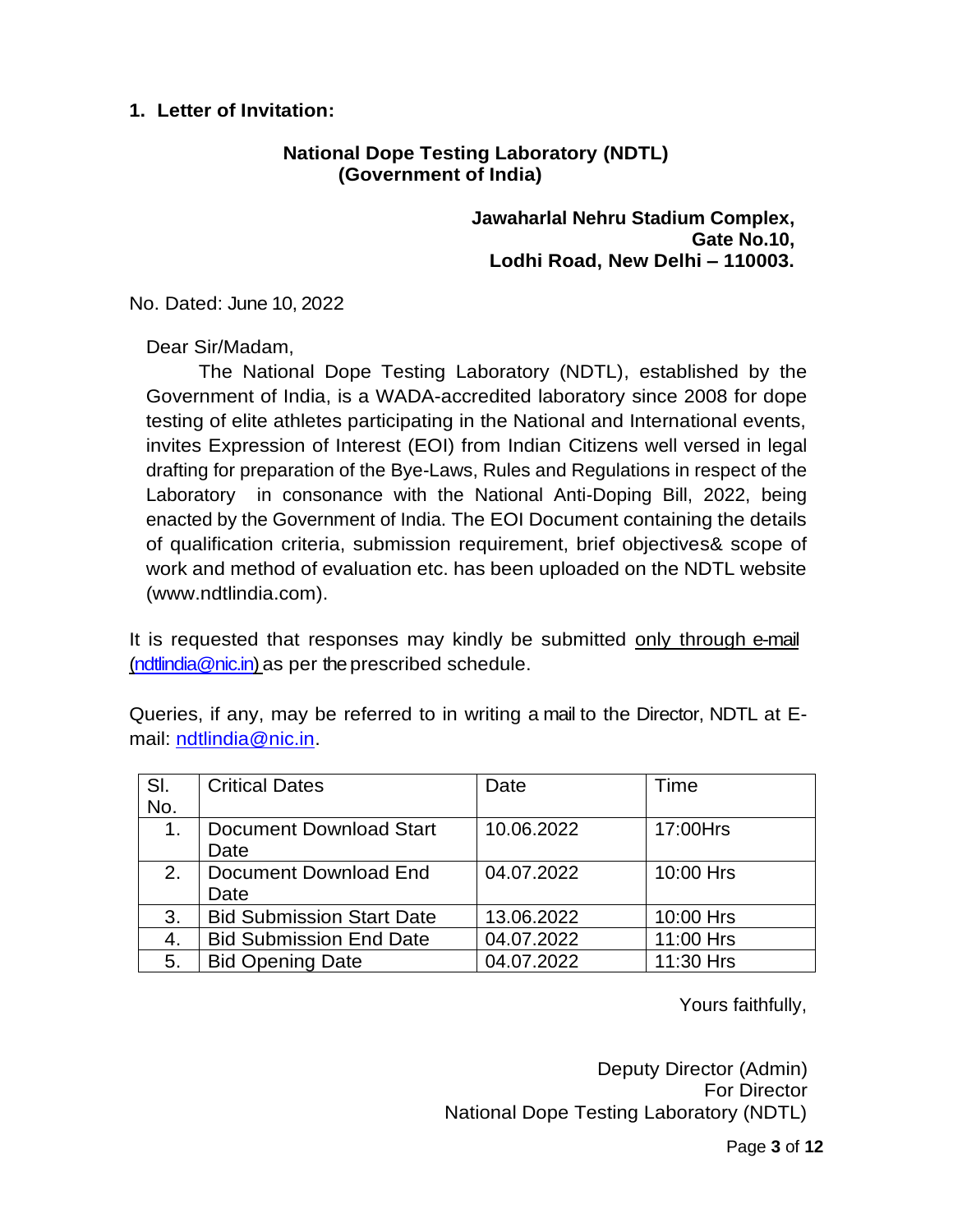#### **1. Letter of Invitation:**

#### **National Dope Testing Laboratory (NDTL) (Government of India)**

**Jawaharlal Nehru Stadium Complex, Gate No.10, Lodhi Road, New Delhi – 110003.**

No. Dated: June 10, 2022

Dear Sir/Madam,

The National Dope Testing Laboratory (NDTL), established by the Government of India, is a WADA-accredited laboratory since 2008 for dope testing of elite athletes participating in the National and International events, invites Expression of Interest (EOI) from Indian Citizens well versed in legal drafting for preparation of the Bye-Laws, Rules and Regulations in respect of the Laboratory in consonance with the National Anti-Doping Bill, 2022, being enacted by the Government of India. The EOI Document containing the details of qualification criteria, submission requirement, brief objectives& scope of work and method of evaluation etc. has been uploaded on the NDTL website (www.ndtlindia.com).

It is requested that responses may kindly be submitted only through e-mail [\(ndtlindia@nic.in\)](mailto:ndtlindia@nic.in) as per the prescribed schedule.

Queries, if any, may be referred to in writing a mail to the Director, NDTL at Email: [ndtlindia@nic.in.](mailto:ndtlindia@nic.in)

| SI. | <b>Critical Dates</b>            | Date       | Time      |
|-----|----------------------------------|------------|-----------|
| No. |                                  |            |           |
| 1.  | <b>Document Download Start</b>   | 10.06.2022 | 17:00Hrs  |
|     | Date                             |            |           |
| 2.  | Document Download End            | 04.07.2022 | 10:00 Hrs |
|     | Date                             |            |           |
| 3.  | <b>Bid Submission Start Date</b> | 13.06.2022 | 10:00 Hrs |
| 4.  | <b>Bid Submission End Date</b>   | 04.07.2022 | 11:00 Hrs |
| 5.  | <b>Bid Opening Date</b>          | 04.07.2022 | 11:30 Hrs |

Yours faithfully,

Deputy Director (Admin) For Director National Dope Testing Laboratory (NDTL)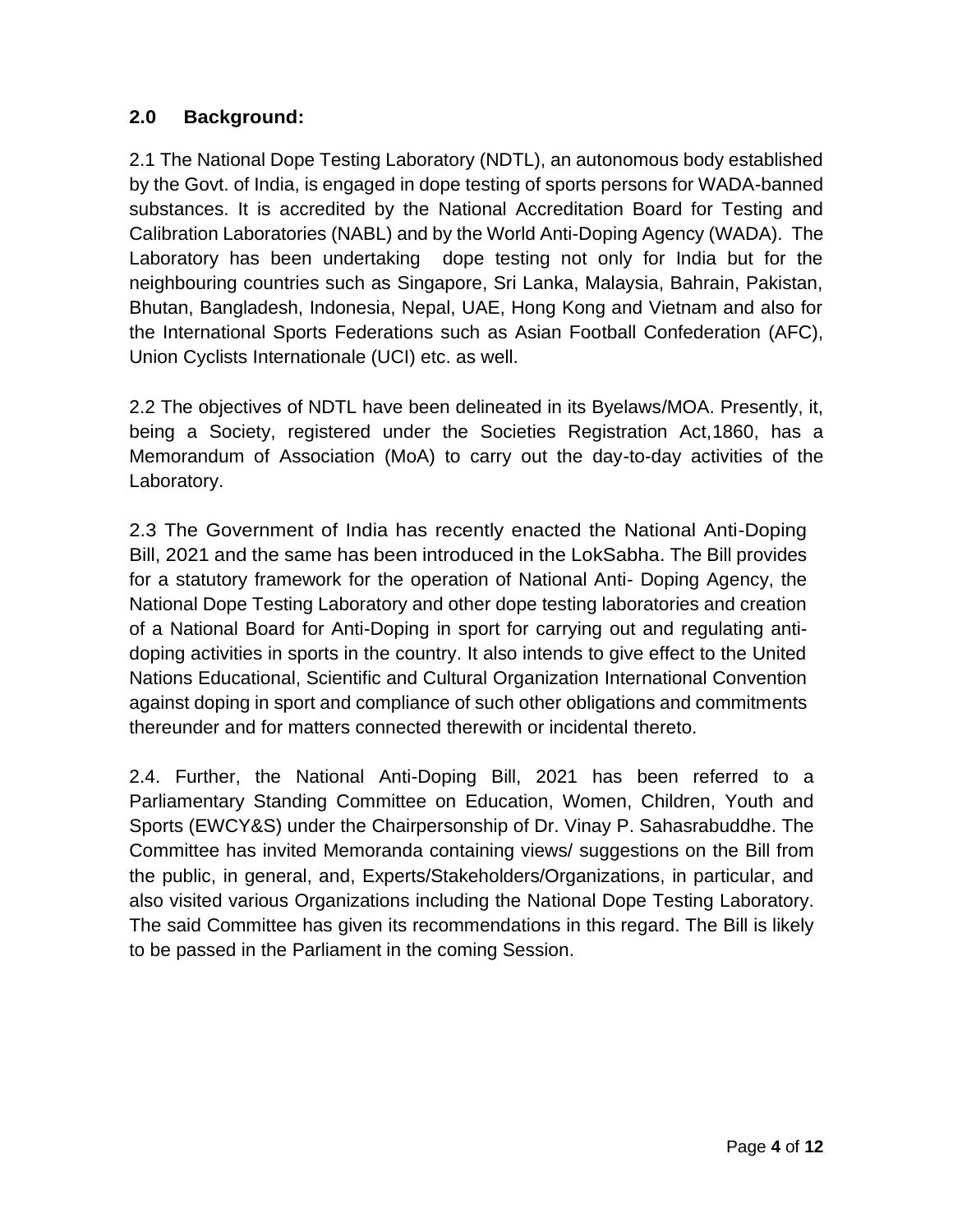## **2.0 Background:**

2.1 The National Dope Testing Laboratory (NDTL), an autonomous body established by the Govt. of India, is engaged in dope testing of sports persons for WADA-banned substances. It is accredited by the National Accreditation Board for Testing and Calibration Laboratories (NABL) and by the World Anti-Doping Agency (WADA). The Laboratory has been undertaking dope testing not only for India but for the neighbouring countries such as Singapore, Sri Lanka, Malaysia, Bahrain, Pakistan, Bhutan, Bangladesh, Indonesia, Nepal, UAE, Hong Kong and Vietnam and also for the International Sports Federations such as Asian Football Confederation (AFC), Union Cyclists Internationale (UCI) etc. as well.

2.2 The objectives of NDTL have been delineated in its Byelaws/MOA. Presently, it, being a Society, registered under the Societies Registration Act,1860, has a Memorandum of Association (MoA) to carry out the day-to-day activities of the Laboratory.

2.3 The Government of India has recently enacted the National Anti-Doping Bill, 2021 and the same has been introduced in the LokSabha. The Bill provides for a statutory framework for the operation of National Anti- Doping Agency, the National Dope Testing Laboratory and other dope testing laboratories and creation of a National Board for Anti-Doping in sport for carrying out and regulating antidoping activities in sports in the country. It also intends to give effect to the United Nations Educational, Scientific and Cultural Organization International Convention against doping in sport and compliance of such other obligations and commitments thereunder and for matters connected therewith or incidental thereto.

2.4. Further, the National Anti-Doping Bill, 2021 has been referred to a Parliamentary Standing Committee on Education, Women, Children, Youth and Sports (EWCY&S) under the Chairpersonship of Dr. Vinay P. Sahasrabuddhe. The Committee has invited Memoranda containing views/ suggestions on the Bill from the public, in general, and, Experts/Stakeholders/Organizations, in particular, and also visited various Organizations including the National Dope Testing Laboratory. The said Committee has given its recommendations in this regard. The Bill is likely to be passed in the Parliament in the coming Session.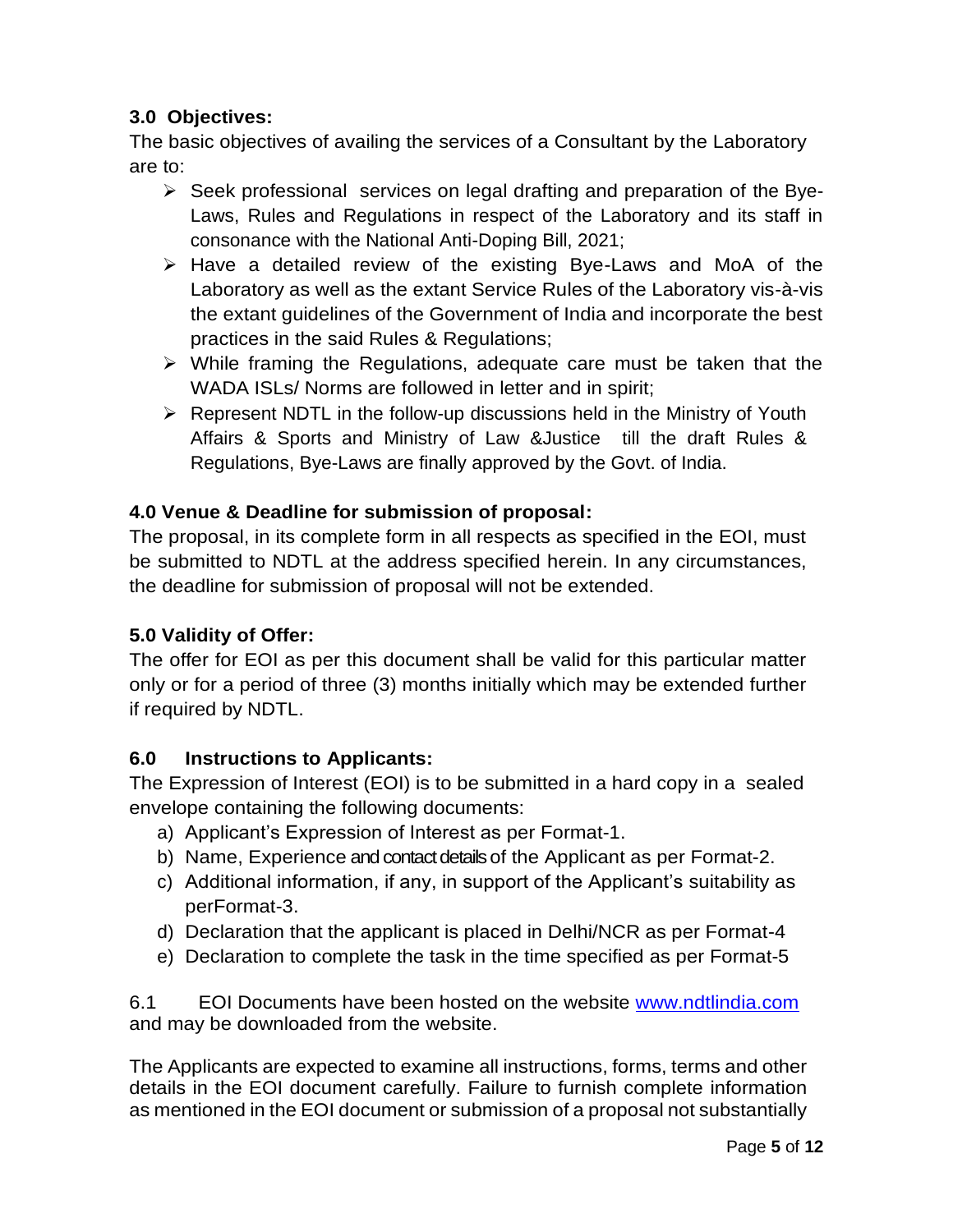## **3.0 Objectives:**

The basic objectives of availing the services of a Consultant by the Laboratory are to:

- $\triangleright$  Seek professional services on legal drafting and preparation of the Bye-Laws, Rules and Regulations in respect of the Laboratory and its staff in consonance with the National Anti-Doping Bill, 2021;
- ➢ Have a detailed review of the existing Bye-Laws and MoA of the Laboratory as well as the extant Service Rules of the Laboratory vis-à-vis the extant guidelines of the Government of India and incorporate the best practices in the said Rules & Regulations;
- $\triangleright$  While framing the Regulations, adequate care must be taken that the WADA ISLs/ Norms are followed in letter and in spirit;
- ➢ Represent NDTL in the follow-up discussions held in the Ministry of Youth Affairs & Sports and Ministry of Law &Justice till the draft Rules & Regulations, Bye-Laws are finally approved by the Govt. of India.

## **4.0 Venue & Deadline for submission of proposal:**

The proposal, in its complete form in all respects as specified in the EOI, must be submitted to NDTL at the address specified herein. In any circumstances, the deadline for submission of proposal will not be extended.

## **5.0 Validity of Offer:**

The offer for EOI as per this document shall be valid for this particular matter only or for a period of three (3) months initially which may be extended further if required by NDTL.

#### **6.0 Instructions to Applicants:**

The Expression of Interest (EOI) is to be submitted in a hard copy in a sealed envelope containing the following documents:

- a) Applicant's Expression of Interest as per Format-1.
- b) Name, Experience and contact details of the Applicant as per Format-2.
- c) Additional information, if any, in support of the Applicant's suitability as perFormat-3.
- d) Declaration that the applicant is placed in Delhi/NCR as per Format-4
- e) Declaration to complete the task in the time specified as per Format-5

6.1 EOI Documents have been hosted on the website [www.ndtlindia.com](http://www.ndtlindia.com/) and may be downloaded from the website.

The Applicants are expected to examine all instructions, forms, terms and other details in the EOI document carefully. Failure to furnish complete information as mentioned in the EOI document or submission of a proposal not substantially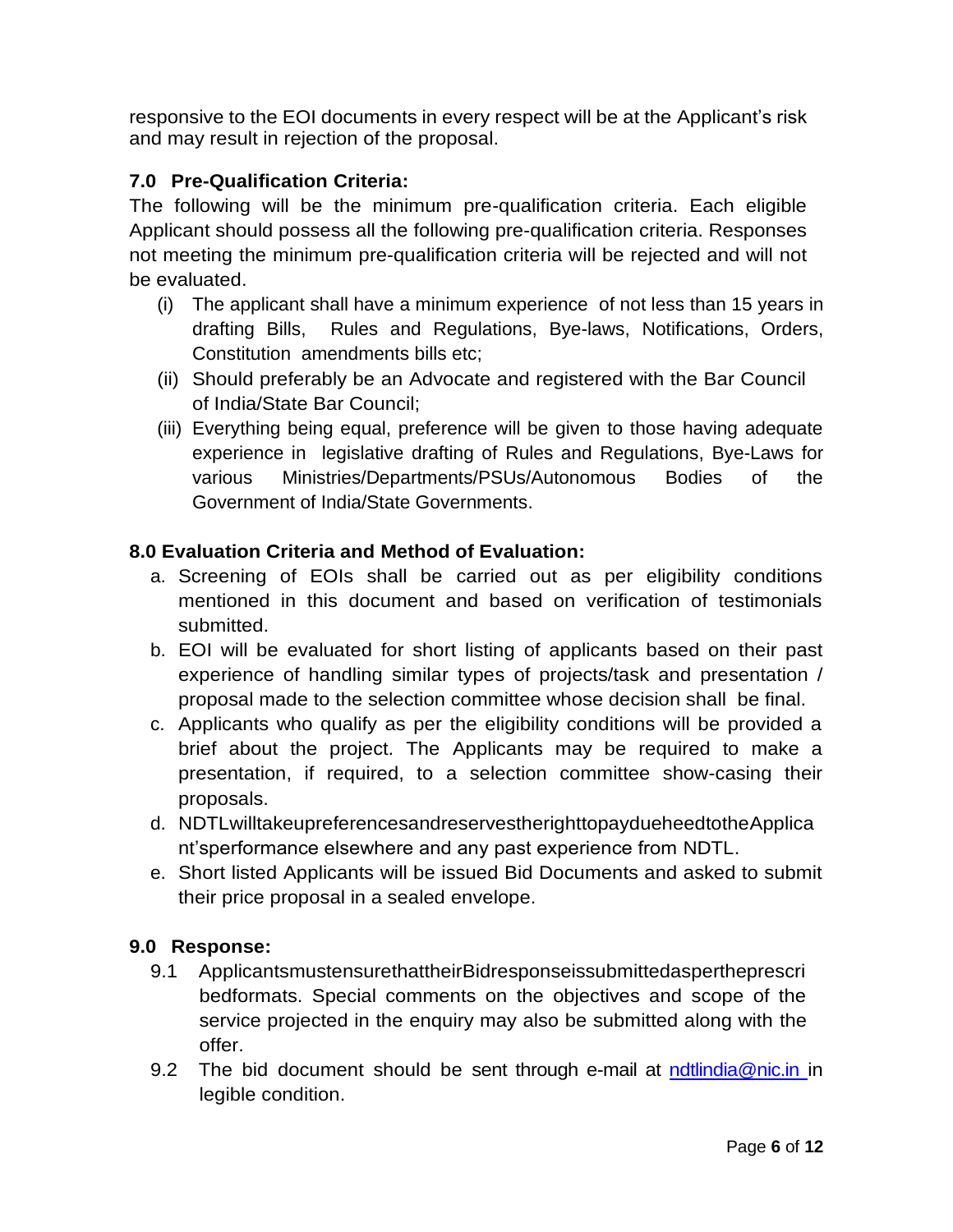responsive to the EOI documents in every respect will be at the Applicant's risk and may result in rejection of the proposal.

## **7.0 Pre-Qualification Criteria:**

The following will be the minimum pre-qualification criteria. Each eligible Applicant should possess all the following pre-qualification criteria. Responses not meeting the minimum pre-qualification criteria will be rejected and will not be evaluated.

- (i) The applicant shall have a minimum experience of not less than 15 years in drafting Bills, Rules and Regulations, Bye-laws, Notifications, Orders, Constitution amendments bills etc;
- (ii) Should preferably be an Advocate and registered with the Bar Council of India/State Bar Council;
- (iii) Everything being equal, preference will be given to those having adequate experience in legislative drafting of Rules and Regulations, Bye-Laws for various Ministries/Departments/PSUs/Autonomous Bodies of the Government of India/State Governments.

## **8.0 Evaluation Criteria and Method of Evaluation:**

- a. Screening of EOIs shall be carried out as per eligibility conditions mentioned in this document and based on verification of testimonials submitted.
- b. EOI will be evaluated for short listing of applicants based on their past experience of handling similar types of projects/task and presentation / proposal made to the selection committee whose decision shall be final.
- c. Applicants who qualify as per the eligibility conditions will be provided a brief about the project. The Applicants may be required to make a presentation, if required, to a selection committee show-casing their proposals.
- d. NDTLwilltakeupreferencesandreservestherighttopaydueheedtotheApplica nt'sperformance elsewhere and any past experience from NDTL.
- e. Short listed Applicants will be issued Bid Documents and asked to submit their price proposal in a sealed envelope.

#### **9.0 Response:**

- 9.1 ApplicantsmustensurethattheirBidresponseissubmittedaspertheprescri bedformats. Special comments on the objectives and scope of the service projected in the enquiry may also be submitted along with the offer.
- 9.2 The bid document should be sent through e-mail at [ndtlindia@nic.in](mailto:ndtlindia@nic.in) in legible condition.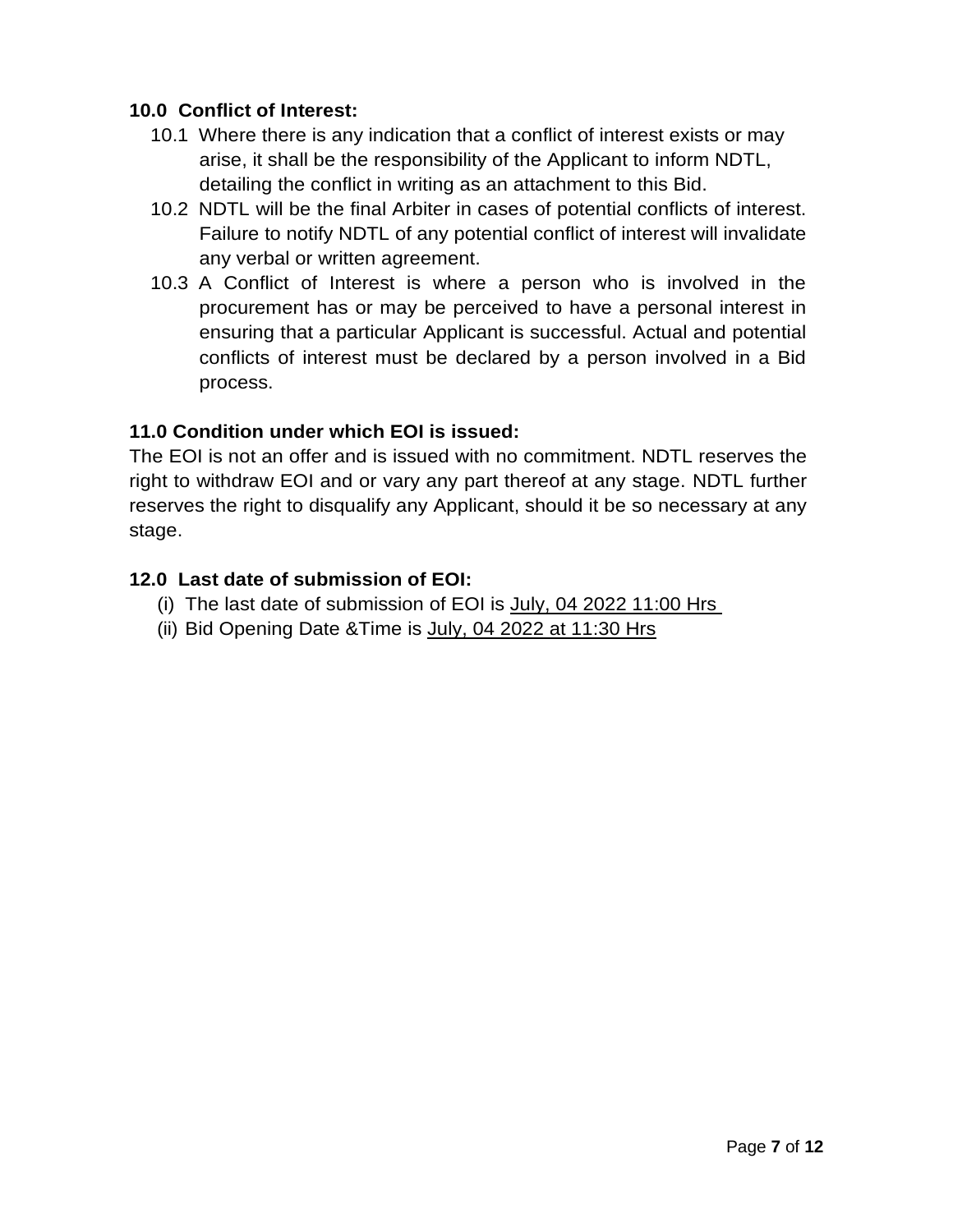#### **10.0 Conflict of Interest:**

- 10.1 Where there is any indication that a conflict of interest exists or may arise, it shall be the responsibility of the Applicant to inform NDTL, detailing the conflict in writing as an attachment to this Bid.
- 10.2 NDTL will be the final Arbiter in cases of potential conflicts of interest. Failure to notify NDTL of any potential conflict of interest will invalidate any verbal or written agreement.
- 10.3 A Conflict of Interest is where a person who is involved in the procurement has or may be perceived to have a personal interest in ensuring that a particular Applicant is successful. Actual and potential conflicts of interest must be declared by a person involved in a Bid process.

## **11.0 Condition under which EOI is issued:**

The EOI is not an offer and is issued with no commitment. NDTL reserves the right to withdraw EOI and or vary any part thereof at any stage. NDTL further reserves the right to disqualify any Applicant, should it be so necessary at any stage.

## **12.0 Last date of submission of EOI:**

- (i) The last date of submission of EOI is July, 04 2022 11:00 Hrs
- (ii) Bid Opening Date  $&$ Time is July, 04 2022 at 11:30 Hrs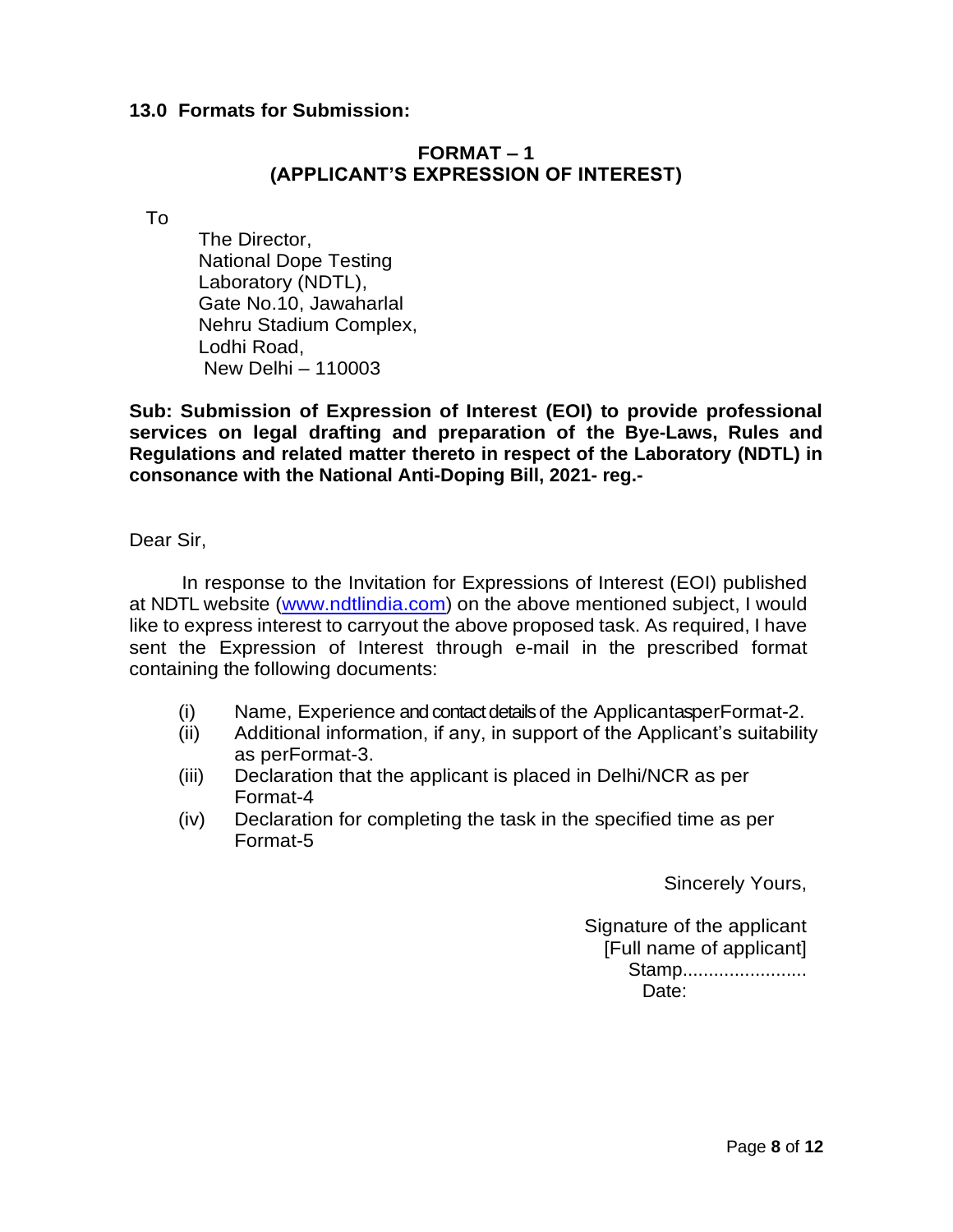#### **13.0 Formats for Submission:**

#### **FORMAT – 1 (APPLICANT'S EXPRESSION OF INTEREST)**

To

The Director, National Dope Testing Laboratory (NDTL), Gate No.10, Jawaharlal Nehru Stadium Complex, Lodhi Road, New Delhi – 110003

**Sub: Submission of Expression of Interest (EOI) to provide professional services on legal drafting and preparation of the Bye-Laws, Rules and Regulations and related matter thereto in respect of the Laboratory (NDTL) in consonance with the National Anti-Doping Bill, 2021- reg.-**

Dear Sir,

In response to the Invitation for Expressions of Interest (EOI) published at NDTL website [\(www.ndtlindia.com\)](http://www.ndtlindia.com/) on the above mentioned subject, I would like to express interest to carryout the above proposed task. As required, I have sent the Expression of Interest through e-mail in the prescribed format containing the following documents:

- (i) Name, Experience and contact details of the ApplicantasperFormat-2.
- (ii) Additional information, if any, in support of the Applicant's suitability as perFormat-3.
- (iii) Declaration that the applicant is placed in Delhi/NCR as per Format-4
- (iv) Declaration for completing the task in the specified time as per Format-5

Sincerely Yours,

Signature of the applicant [Full name of applicant] Stamp......................... Date: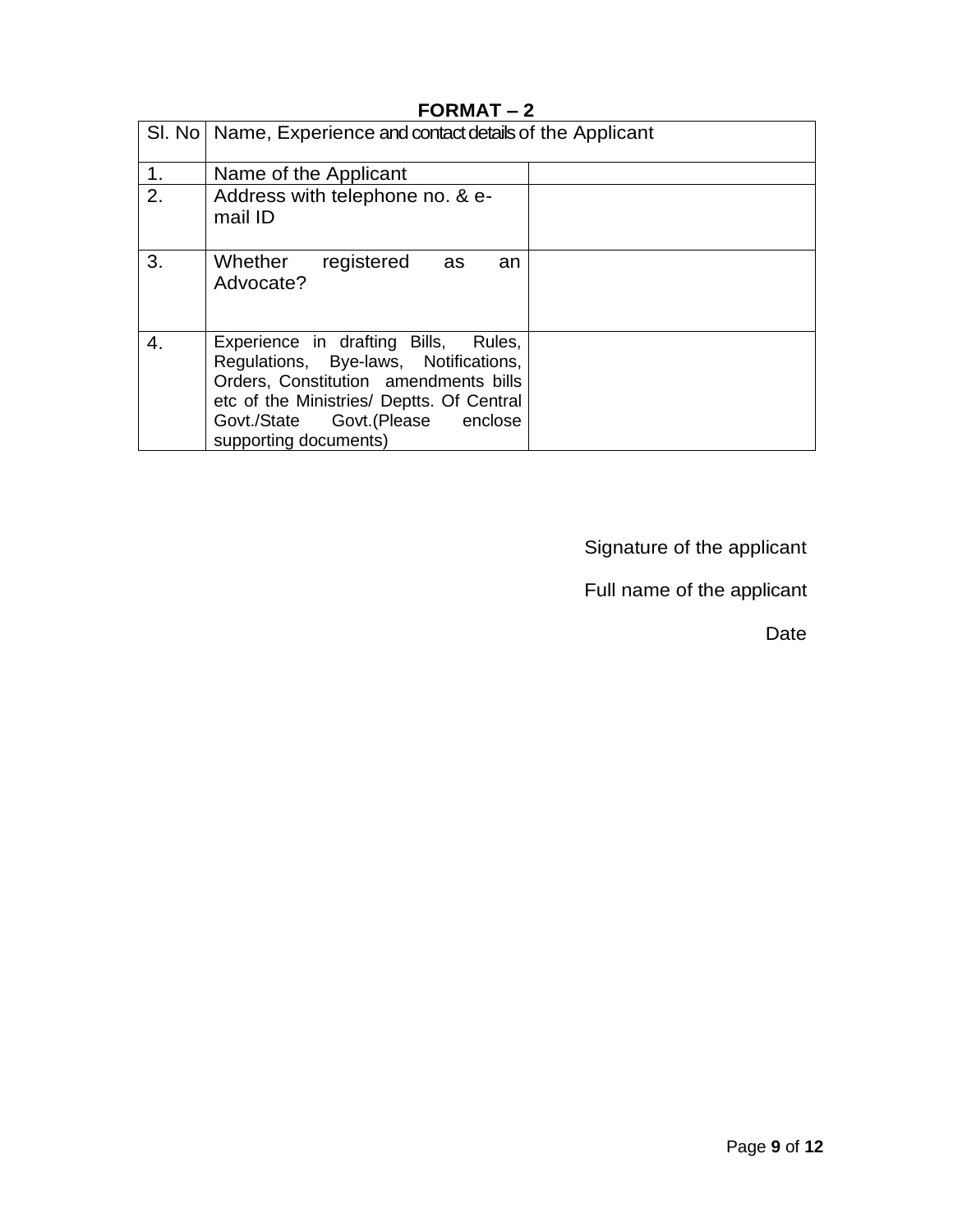|    | SI. No   Name, Experience and contact details of the Applicant                                                                                                                                                                   |  |  |  |  |
|----|----------------------------------------------------------------------------------------------------------------------------------------------------------------------------------------------------------------------------------|--|--|--|--|
| 1. | Name of the Applicant                                                                                                                                                                                                            |  |  |  |  |
| 2. | Address with telephone no. & e-<br>mail ID                                                                                                                                                                                       |  |  |  |  |
| 3. | Whether<br>registered<br>as<br>an<br>Advocate?                                                                                                                                                                                   |  |  |  |  |
| 4. | Experience in drafting Bills, Rules,<br>Regulations, Bye-laws, Notifications,<br>Orders, Constitution amendments bills<br>etc of the Ministries/ Deptts. Of Central<br>Govt./State Govt.(Please enclose<br>supporting documents) |  |  |  |  |

## **FORMAT – 2**

Signature of the applicant

Full name of the applicant

Date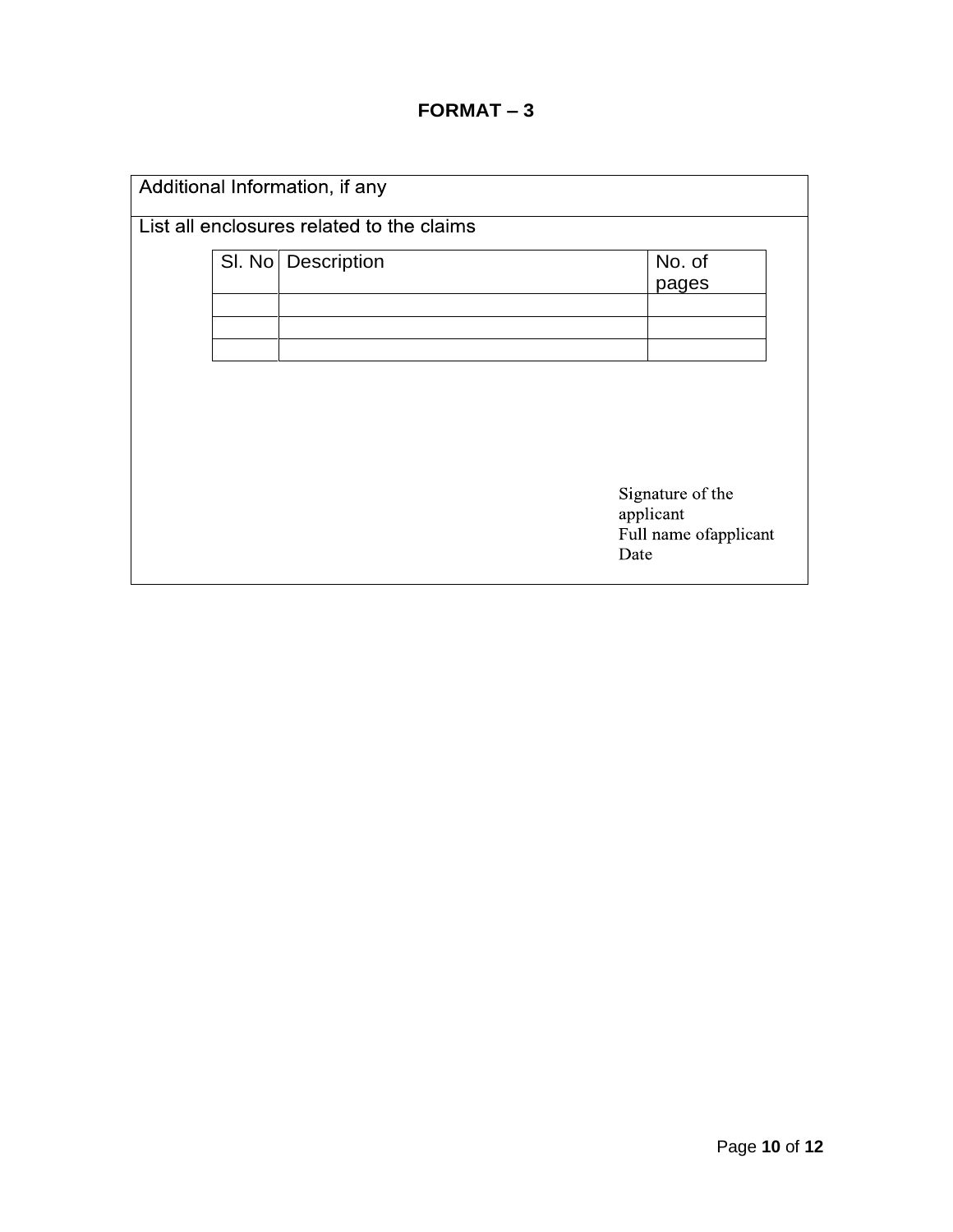|  | Additional Information, if any            |                                                         |  |
|--|-------------------------------------------|---------------------------------------------------------|--|
|  | List all enclosures related to the claims |                                                         |  |
|  | SI. No   Description                      | No. of<br>pages                                         |  |
|  |                                           |                                                         |  |
|  |                                           |                                                         |  |
|  |                                           |                                                         |  |
|  |                                           | Signature of the<br>applicant<br>Full name of applicant |  |
|  |                                           | Date                                                    |  |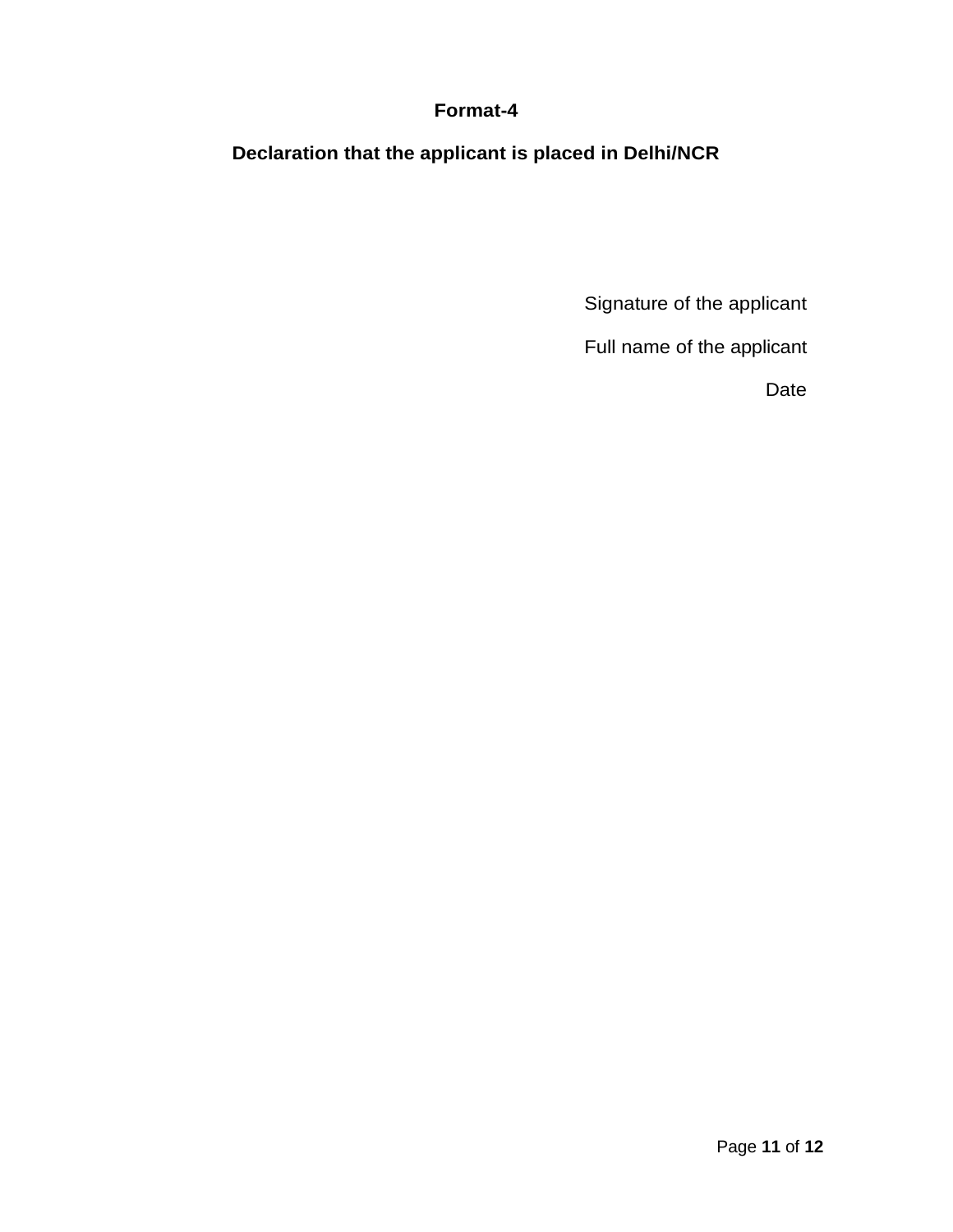#### **Format-4**

**Declaration that the applicant is placed in Delhi/NCR**

Signature of the applicant

Full name of the applicant

Date